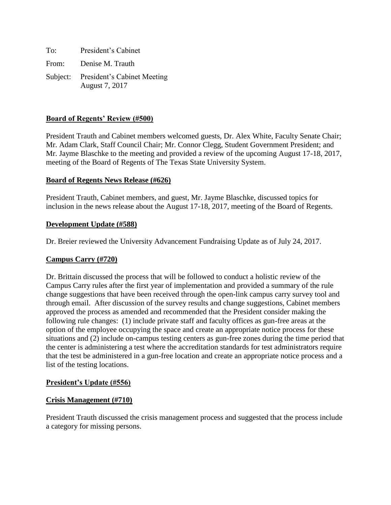| To: | President's Cabinet                                    |
|-----|--------------------------------------------------------|
|     | From: Denise M. Trauth                                 |
|     | Subject: President's Cabinet Meeting<br>August 7, 2017 |

# **Board of Regents' Review (#500)**

President Trauth and Cabinet members welcomed guests, Dr. Alex White, Faculty Senate Chair; Mr. Adam Clark, Staff Council Chair; Mr. Connor Clegg, Student Government President; and Mr. Jayme Blaschke to the meeting and provided a review of the upcoming August 17-18, 2017, meeting of the Board of Regents of The Texas State University System.

## **Board of Regents News Release (#626)**

President Trauth, Cabinet members, and guest, Mr. Jayme Blaschke, discussed topics for inclusion in the news release about the August 17-18, 2017, meeting of the Board of Regents.

#### **Development Update (#588)**

Dr. Breier reviewed the University Advancement Fundraising Update as of July 24, 2017.

## **Campus Carry (#720)**

Dr. Brittain discussed the process that will be followed to conduct a holistic review of the Campus Carry rules after the first year of implementation and provided a summary of the rule change suggestions that have been received through the open-link campus carry survey tool and through email. After discussion of the survey results and change suggestions, Cabinet members approved the process as amended and recommended that the President consider making the following rule changes: (1) include private staff and faculty offices as gun-free areas at the option of the employee occupying the space and create an appropriate notice process for these situations and (2) include on-campus testing centers as gun-free zones during the time period that the center is administering a test where the accreditation standards for test administrators require that the test be administered in a gun-free location and create an appropriate notice process and a list of the testing locations.

## **President's Update (#556)**

#### **Crisis Management (#710)**

President Trauth discussed the crisis management process and suggested that the process include a category for missing persons.